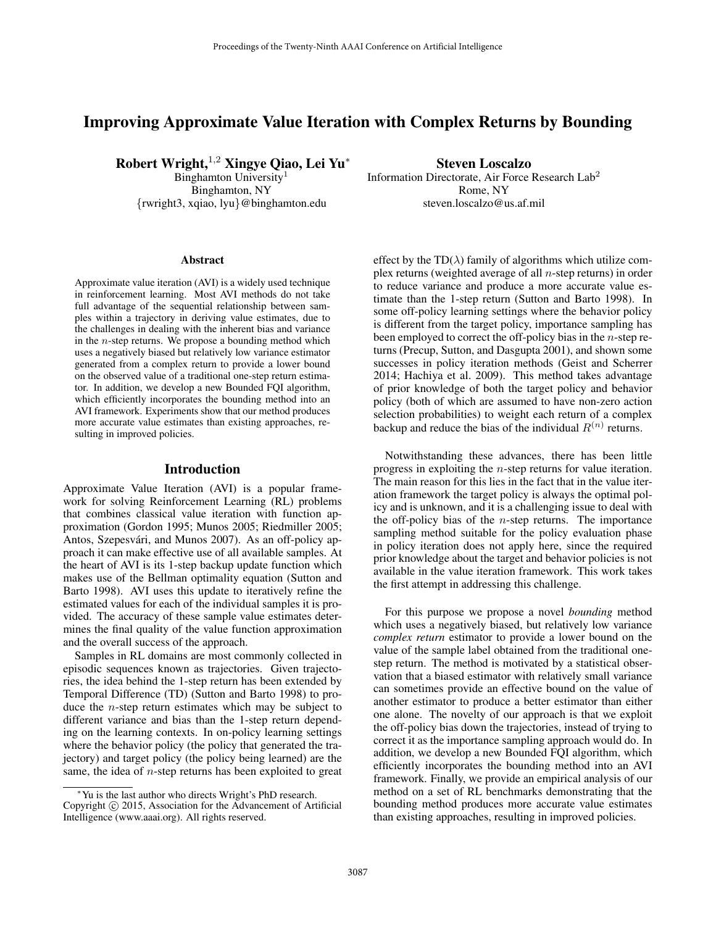# Improving Approximate Value Iteration with Complex Returns by Bounding

Robert Wright,<sup>1,2</sup> Xingye Qiao, Lei Yu<sup>∗</sup>

Binghamton University<sup>1</sup> Binghamton, NY {rwright3, xqiao, lyu}@binghamton.edu

#### Abstract

Approximate value iteration (AVI) is a widely used technique in reinforcement learning. Most AVI methods do not take full advantage of the sequential relationship between samples within a trajectory in deriving value estimates, due to the challenges in dealing with the inherent bias and variance in the n-step returns. We propose a bounding method which uses a negatively biased but relatively low variance estimator generated from a complex return to provide a lower bound on the observed value of a traditional one-step return estimator. In addition, we develop a new Bounded FQI algorithm, which efficiently incorporates the bounding method into an AVI framework. Experiments show that our method produces more accurate value estimates than existing approaches, resulting in improved policies.

### Introduction

Approximate Value Iteration (AVI) is a popular framework for solving Reinforcement Learning (RL) problems that combines classical value iteration with function approximation (Gordon 1995; Munos 2005; Riedmiller 2005; Antos, Szepesvári, and Munos 2007). As an off-policy approach it can make effective use of all available samples. At the heart of AVI is its 1-step backup update function which makes use of the Bellman optimality equation (Sutton and Barto 1998). AVI uses this update to iteratively refine the estimated values for each of the individual samples it is provided. The accuracy of these sample value estimates determines the final quality of the value function approximation and the overall success of the approach.

Samples in RL domains are most commonly collected in episodic sequences known as trajectories. Given trajectories, the idea behind the 1-step return has been extended by Temporal Difference (TD) (Sutton and Barto 1998) to produce the n-step return estimates which may be subject to different variance and bias than the 1-step return depending on the learning contexts. In on-policy learning settings where the behavior policy (the policy that generated the trajectory) and target policy (the policy being learned) are the same, the idea of *n*-step returns has been exploited to great

Steven Loscalzo Information Directorate, Air Force Research Lab<sup>2</sup> Rome, NY

steven.loscalzo@us.af.mil

effect by the TD( $\lambda$ ) family of algorithms which utilize complex returns (weighted average of all  $n$ -step returns) in order to reduce variance and produce a more accurate value estimate than the 1-step return (Sutton and Barto 1998). In some off-policy learning settings where the behavior policy is different from the target policy, importance sampling has been employed to correct the off-policy bias in the  $n$ -step returns (Precup, Sutton, and Dasgupta 2001), and shown some successes in policy iteration methods (Geist and Scherrer 2014; Hachiya et al. 2009). This method takes advantage of prior knowledge of both the target policy and behavior policy (both of which are assumed to have non-zero action selection probabilities) to weight each return of a complex backup and reduce the bias of the individual  $R^{(n)}$  returns.

Notwithstanding these advances, there has been little progress in exploiting the n-step returns for value iteration. The main reason for this lies in the fact that in the value iteration framework the target policy is always the optimal policy and is unknown, and it is a challenging issue to deal with the off-policy bias of the  $n$ -step returns. The importance sampling method suitable for the policy evaluation phase in policy iteration does not apply here, since the required prior knowledge about the target and behavior policies is not available in the value iteration framework. This work takes the first attempt in addressing this challenge.

For this purpose we propose a novel *bounding* method which uses a negatively biased, but relatively low variance *complex return* estimator to provide a lower bound on the value of the sample label obtained from the traditional onestep return. The method is motivated by a statistical observation that a biased estimator with relatively small variance can sometimes provide an effective bound on the value of another estimator to produce a better estimator than either one alone. The novelty of our approach is that we exploit the off-policy bias down the trajectories, instead of trying to correct it as the importance sampling approach would do. In addition, we develop a new Bounded FQI algorithm, which efficiently incorporates the bounding method into an AVI framework. Finally, we provide an empirical analysis of our method on a set of RL benchmarks demonstrating that the bounding method produces more accurate value estimates than existing approaches, resulting in improved policies.

<sup>∗</sup>Yu is the last author who directs Wright's PhD research. Copyright © 2015, Association for the Advancement of Artificial Intelligence (www.aaai.org). All rights reserved.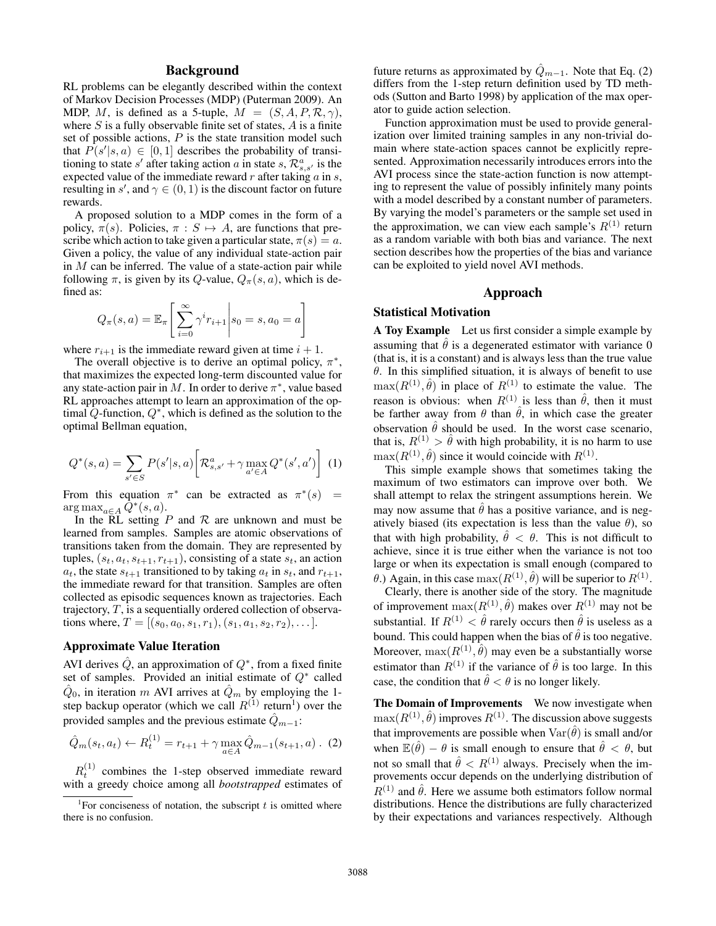## Background

RL problems can be elegantly described within the context of Markov Decision Processes (MDP) (Puterman 2009). An MDP, M, is defined as a 5-tuple,  $M = (S, A, P, \mathcal{R}, \gamma)$ , where  $S$  is a fully observable finite set of states,  $A$  is a finite set of possible actions,  $P$  is the state transition model such that  $\widehat{P}(s'|s,a) \in [0,1]$  describes the probability of transitioning to state s' after taking action a in state s,  $\mathcal{R}^a_{s,s'}$  is the expected value of the immediate reward  $r$  after taking  $a$  in  $s$ , resulting in s', and  $\gamma \in (0, 1)$  is the discount factor on future rewards.

A proposed solution to a MDP comes in the form of a policy,  $\pi(s)$ . Policies,  $\pi : S \mapsto A$ , are functions that prescribe which action to take given a particular state,  $\pi(s) = a$ . Given a policy, the value of any individual state-action pair in  $M$  can be inferred. The value of a state-action pair while following  $\pi$ , is given by its Q-value,  $Q_{\pi}(s, a)$ , which is defined as:

$$
Q_{\pi}(s, a) = \mathbb{E}_{\pi} \left[ \sum_{i=0}^{\infty} \gamma^{i} r_{i+1} \middle| s_0 = s, a_0 = a \right]
$$

where  $r_{i+1}$  is the immediate reward given at time  $i + 1$ .

The overall objective is to derive an optimal policy,  $\pi^*$ , that maximizes the expected long-term discounted value for any state-action pair in M. In order to derive  $\pi^*$ , value based RL approaches attempt to learn an approximation of the optimal  $Q$ -function,  $Q^*$ , which is defined as the solution to the optimal Bellman equation,

$$
Q^*(s, a) = \sum_{s' \in S} P(s'|s, a) \left[ \mathcal{R}_{s, s'}^a + \gamma \max_{a' \in A} Q^*(s', a') \right] \tag{1}
$$

From this equation  $\pi^*$  can be extracted as  $\pi^*(s)$  =  $\arg \max_{a \in A} \bar{Q}^*(s, a).$ 

In the RL setting  $P$  and  $R$  are unknown and must be learned from samples. Samples are atomic observations of transitions taken from the domain. They are represented by tuples,  $(s_t, a_t, s_{t+1}, r_{t+1})$ , consisting of a state  $s_t$ , an action  $a_t$ , the state  $s_{t+1}$  transitioned to by taking  $a_t$  in  $s_t$ , and  $r_{t+1}$ , the immediate reward for that transition. Samples are often collected as episodic sequences known as trajectories. Each trajectory,  $T$ , is a sequentially ordered collection of observations where,  $T = [(s_0, a_0, s_1, r_1), (s_1, a_1, s_2, r_2), \dots].$ 

# Approximate Value Iteration

AVI derives  $\hat{Q}$ , an approximation of  $Q^*$ , from a fixed finite set of samples. Provided an initial estimate of  $Q^*$  called  $\hat{Q}_0$ , in iteration m AVI arrives at  $\hat{Q}_m$  by employing the 1step backup operator (which we call  $R^{(1)}$  return<sup>1</sup>) over the provided samples and the previous estimate  $\hat{Q}_{m-1}$ :

$$
\hat{Q}_m(s_t, a_t) \leftarrow R_t^{(1)} = r_{t+1} + \gamma \max_{a \in A} \hat{Q}_{m-1}(s_{t+1}, a) \ . \tag{2}
$$

 $R_t^{(1)}$  combines the 1-step observed immediate reward with a greedy choice among all *bootstrapped* estimates of future returns as approximated by  $\hat{Q}_{m-1}$ . Note that Eq. (2) differs from the 1-step return definition used by TD methods (Sutton and Barto 1998) by application of the max operator to guide action selection.

Function approximation must be used to provide generalization over limited training samples in any non-trivial domain where state-action spaces cannot be explicitly represented. Approximation necessarily introduces errors into the AVI process since the state-action function is now attempting to represent the value of possibly infinitely many points with a model described by a constant number of parameters. By varying the model's parameters or the sample set used in the approximation, we can view each sample's  $R^{(1)}$  return as a random variable with both bias and variance. The next section describes how the properties of the bias and variance can be exploited to yield novel AVI methods.

#### Approach

#### Statistical Motivation

A Toy Example Let us first consider a simple example by assuming that  $\hat{\theta}$  is a degenerated estimator with variance 0 (that is, it is a constant) and is always less than the true value  $\theta$ . In this simplified situation, it is always of benefit to use  $max(R^{(1)}, \hat{\theta})$  in place of  $R^{(1)}$  to estimate the value. The reason is obvious: when  $R^{(1)}$  is less than  $\hat{\theta}$ , then it must be farther away from  $\theta$  than  $\hat{\theta}$ , in which case the greater observation  $\hat{\theta}$  should be used. In the worst case scenario, that is,  $R^{(1)} > \theta$  with high probability, it is no harm to use  $\max(R^{(1)}, \hat{\theta})$  since it would coincide with  $R^{(1)}$ .

This simple example shows that sometimes taking the maximum of two estimators can improve over both. We shall attempt to relax the stringent assumptions herein. We may now assume that  $\hat{\theta}$  has a positive variance, and is negatively biased (its expectation is less than the value  $\theta$ ), so that with high probability,  $\hat{\theta} < \theta$ . This is not difficult to achieve, since it is true either when the variance is not too large or when its expectation is small enough (compared to  $\theta$ .) Again, in this case  $\max(R^{(1)}, \hat{\theta})$  will be superior to  $R^{(1)}$ .

Clearly, there is another side of the story. The magnitude of improvement  $\max(R^{(1)}, \hat{\theta})$  makes over  $R^{(1)}$  may not be substantial. If  $R^{(1)} < \hat{\theta}$  rarely occurs then  $\hat{\theta}$  is useless as a bound. This could happen when the bias of  $\hat{\theta}$  is too negative. Moreover,  $\max(R^{(1)}, \hat{\theta})$  may even be a substantially worse estimator than  $R^{(1)}$  if the variance of  $\hat{\theta}$  is too large. In this case, the condition that  $\hat{\theta} < \theta$  is no longer likely.

The Domain of Improvements We now investigate when  $\max(R^{(1)}, \hat{\theta})$  improves  $R^{(1)}$ . The discussion above suggests that improvements are possible when  $\text{Var}(\hat{\theta})$  is small and/or when  $\mathbb{E}(\hat{\theta}) - \theta$  is small enough to ensure that  $\hat{\theta} < \theta$ , but not so small that  $\hat{\theta} < R^{(1)}$  always. Precisely when the improvements occur depends on the underlying distribution of  $R^{(1)}$  and  $\hat{\theta}$ . Here we assume both estimators follow normal distributions. Hence the distributions are fully characterized by their expectations and variances respectively. Although

<sup>&</sup>lt;sup>1</sup>For conciseness of notation, the subscript  $t$  is omitted where there is no confusion.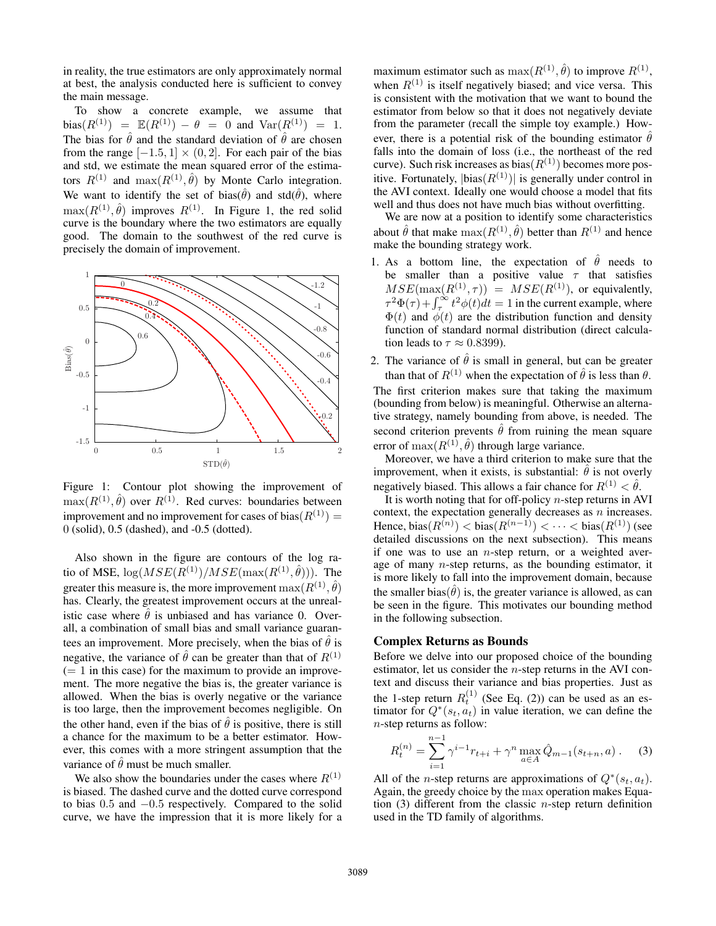in reality, the true estimators are only approximately normal at best, the analysis conducted here is sufficient to convey the main message.

To show a concrete example, we assume that bias( $R^{(1)}$ ) =  $\mathbb{E}(R^{(1)}) - \theta = 0$  and  $\text{Var}(R^{(1)}) = 1$ . The bias for  $\hat{\theta}$  and the standard deviation of  $\hat{\theta}$  are chosen from the range  $[-1.5, 1] \times (0, 2]$ . For each pair of the bias and std, we estimate the mean squared error of the estimators  $R^{(1)}$  and  $\max(R^{(1)}, \hat{\theta})$  by Monte Carlo integration. We want to identify the set of bias( $\hat{\theta}$ ) and std( $\hat{\theta}$ ), where  $\max(R^{(1)}, \hat{\theta})$  improves  $R^{(1)}$ . In Figure 1, the red solid curve is the boundary where the two estimators are equally good. The domain to the southwest of the red curve is precisely the domain of improvement.



Figure 1: Contour plot showing the improvement of  $max(R^{(1)}, \hat{\theta})$  over  $R^{(1)}$ . Red curves: boundaries between improvement and no improvement for cases of bias( $R^{(1)}$ ) = 0 (solid), 0.5 (dashed), and -0.5 (dotted).

Also shown in the figure are contours of the log ratio of MSE,  $\log(MSE(R^{(1)})/MSE(\max(R^{(1)}, \hat{\theta})))$ . The greater this measure is, the more improvement  $\max(R^{(1)}, \hat{\theta})$ has. Clearly, the greatest improvement occurs at the unrealistic case where  $\hat{\theta}$  is unbiased and has variance 0. Overall, a combination of small bias and small variance guarantees an improvement. More precisely, when the bias of  $\hat{\theta}$  is negative, the variance of  $\hat{\theta}$  can be greater than that of  $R^{(1)}$  $(= 1$  in this case) for the maximum to provide an improvement. The more negative the bias is, the greater variance is allowed. When the bias is overly negative or the variance is too large, then the improvement becomes negligible. On the other hand, even if the bias of  $\hat{\theta}$  is positive, there is still a chance for the maximum to be a better estimator. However, this comes with a more stringent assumption that the variance of  $\hat{\theta}$  must be much smaller.

We also show the boundaries under the cases where  $R^{(1)}$ is biased. The dashed curve and the dotted curve correspond to bias 0.5 and −0.5 respectively. Compared to the solid curve, we have the impression that it is more likely for a

maximum estimator such as  $max(R^{(1)}, \hat{\theta})$  to improve  $R^{(1)}$ , when  $R^{(1)}$  is itself negatively biased; and vice versa. This is consistent with the motivation that we want to bound the estimator from below so that it does not negatively deviate from the parameter (recall the simple toy example.) However, there is a potential risk of the bounding estimator  $\hat{\theta}$ falls into the domain of loss (i.e., the northeast of the red curve). Such risk increases as bias( $R^{(1)}$ ) becomes more positive. Fortunately,  $|\text{bias}(R^{(1)})|$  is generally under control in the AVI context. Ideally one would choose a model that fits well and thus does not have much bias without overfitting.

We are now at a position to identify some characteristics about  $\hat{\theta}$  that make  $\max(R^{(1)}, \hat{\theta})$  better than  $R^{(1)}$  and hence make the bounding strategy work.

- 1. As a bottom line, the expectation of  $\hat{\theta}$  needs to be smaller than a positive value  $\tau$  that satisfies  $MSE(\max(R^{(1)}, \tau)) = MSE(R^{(1)})$ , or equivalently,  $\tau^2 \Phi(\tau) + \int_{\tau}^{\infty} t^2 \phi(t) dt = 1$  in the current example, where  $\Phi(t)$  and  $\phi(t)$  are the distribution function and density function of standard normal distribution (direct calculation leads to  $\tau \approx 0.8399$ ).
- 2. The variance of  $\hat{\theta}$  is small in general, but can be greater than that of  $R^{(1)}$  when the expectation of  $\hat{\theta}$  is less than  $\theta$ . The first criterion makes sure that taking the maximum (bounding from below) is meaningful. Otherwise an alternative strategy, namely bounding from above, is needed. The second criterion prevents  $\hat{\theta}$  from ruining the mean square error of  $max(R^{(1)}, \hat{\theta})$  through large variance.

Moreover, we have a third criterion to make sure that the improvement, when it exists, is substantial:  $\hat{\theta}$  is not overly negatively biased. This allows a fair chance for  $R^{(1)} < \hat{\theta}$ .

It is worth noting that for off-policy  $n$ -step returns in AVI context, the expectation generally decreases as  $n$  increases. Hence,  $bias(R^{(n)})$  <  $bias(R^{(n-1)})$  <  $\cdots$  <  $bias(R^{(1)})$  (see detailed discussions on the next subsection). This means if one was to use an *n*-step return, or a weighted average of many  $n$ -step returns, as the bounding estimator, it is more likely to fall into the improvement domain, because the smaller bias( $\hat{\theta}$ ) is, the greater variance is allowed, as can be seen in the figure. This motivates our bounding method in the following subsection.

### Complex Returns as Bounds

Before we delve into our proposed choice of the bounding estimator, let us consider the n-step returns in the AVI context and discuss their variance and bias properties. Just as the 1-step return  $R_t^{(1)}$  (See Eq. (2)) can be used as an estimator for  $Q^*(s_t, a_t)$  in value iteration, we can define the n-step returns as follow:

$$
R_t^{(n)} = \sum_{i=1}^{n-1} \gamma^{i-1} r_{t+i} + \gamma^n \max_{a \in A} \hat{Q}_{m-1}(s_{t+n}, a) \tag{3}
$$

All of the *n*-step returns are approximations of  $Q^*(s_t, a_t)$ . Again, the greedy choice by the max operation makes Equation (3) different from the classic  $n$ -step return definition used in the TD family of algorithms.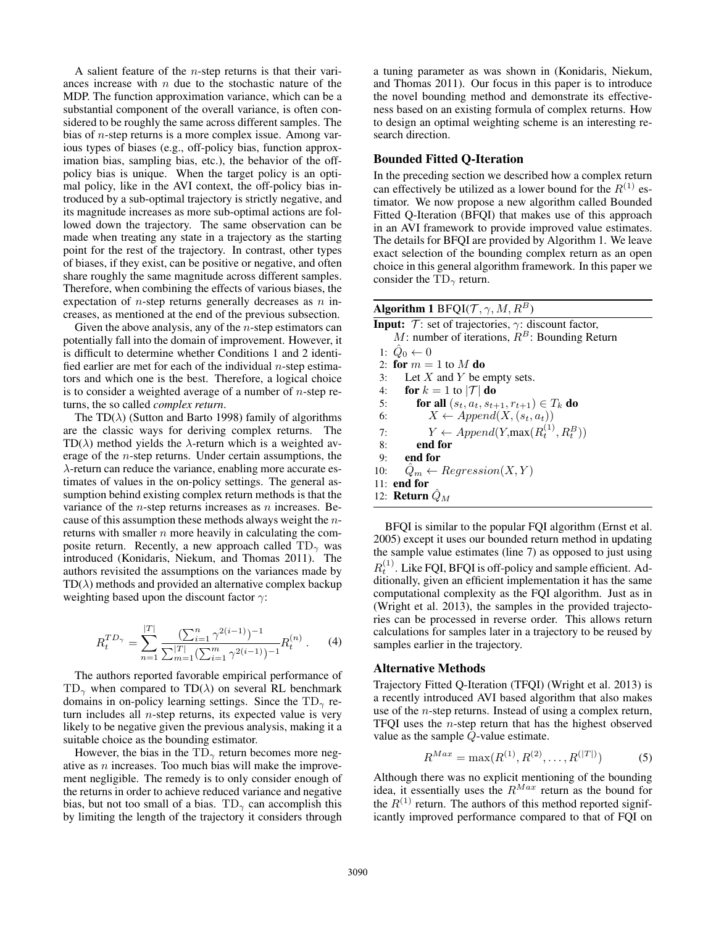A salient feature of the *n*-step returns is that their variances increase with  $n$  due to the stochastic nature of the MDP. The function approximation variance, which can be a substantial component of the overall variance, is often considered to be roughly the same across different samples. The bias of n-step returns is a more complex issue. Among various types of biases (e.g., off-policy bias, function approximation bias, sampling bias, etc.), the behavior of the offpolicy bias is unique. When the target policy is an optimal policy, like in the AVI context, the off-policy bias introduced by a sub-optimal trajectory is strictly negative, and its magnitude increases as more sub-optimal actions are followed down the trajectory. The same observation can be made when treating any state in a trajectory as the starting point for the rest of the trajectory. In contrast, other types of biases, if they exist, can be positive or negative, and often share roughly the same magnitude across different samples. Therefore, when combining the effects of various biases, the expectation of  $n$ -step returns generally decreases as  $n$  increases, as mentioned at the end of the previous subsection.

Given the above analysis, any of the  $n$ -step estimators can potentially fall into the domain of improvement. However, it is difficult to determine whether Conditions 1 and 2 identified earlier are met for each of the individual  $n$ -step estimators and which one is the best. Therefore, a logical choice is to consider a weighted average of a number of  $n$ -step returns, the so called *complex return*.

The TD( $\lambda$ ) (Sutton and Barto 1998) family of algorithms are the classic ways for deriving complex returns. The TD( $\lambda$ ) method yields the  $\lambda$ -return which is a weighted average of the n-step returns. Under certain assumptions, the  $\lambda$ -return can reduce the variance, enabling more accurate estimates of values in the on-policy settings. The general assumption behind existing complex return methods is that the variance of the  $n$ -step returns increases as  $n$  increases. Because of this assumption these methods always weight the nreturns with smaller  $n$  more heavily in calculating the composite return. Recently, a new approach called  $TD_{\gamma}$  was introduced (Konidaris, Niekum, and Thomas 2011). The authors revisited the assumptions on the variances made by  $TD(\lambda)$  methods and provided an alternative complex backup weighting based upon the discount factor  $\gamma$ :

$$
R_t^{TD_{\gamma}} = \sum_{n=1}^{|T|} \frac{\left(\sum_{i=1}^n \gamma^{2(i-1)}\right)^{-1}}{\sum_{m=1}^{|T|} \left(\sum_{i=1}^m \gamma^{2(i-1)}\right)^{-1}} R_t^{(n)}.
$$
 (4)

The authors reported favorable empirical performance of  $TD_{\gamma}$  when compared to  $TD(\lambda)$  on several RL benchmark domains in on-policy learning settings. Since the  $TD_{\gamma}$  return includes all  $n$ -step returns, its expected value is very likely to be negative given the previous analysis, making it a suitable choice as the bounding estimator.

However, the bias in the  $TD_{\gamma}$  return becomes more negative as n increases. Too much bias will make the improvement negligible. The remedy is to only consider enough of the returns in order to achieve reduced variance and negative bias, but not too small of a bias.  $TD_{\gamma}$  can accomplish this by limiting the length of the trajectory it considers through

a tuning parameter as was shown in (Konidaris, Niekum, and Thomas 2011). Our focus in this paper is to introduce the novel bounding method and demonstrate its effectiveness based on an existing formula of complex returns. How to design an optimal weighting scheme is an interesting research direction.

## Bounded Fitted Q-Iteration

In the preceding section we described how a complex return can effectively be utilized as a lower bound for the  $R^{(1)}$  estimator. We now propose a new algorithm called Bounded Fitted Q-Iteration (BFQI) that makes use of this approach in an AVI framework to provide improved value estimates. The details for BFQI are provided by Algorithm 1. We leave exact selection of the bounding complex return as an open choice in this general algorithm framework. In this paper we consider the  $TD_{\gamma}$  return.

| Algorithm 1 BFQI $(\mathcal{T}, \gamma, M, R^B)$                               |
|--------------------------------------------------------------------------------|
| <b>Input:</b> $\mathcal{T}$ : set of trajectories, $\gamma$ : discount factor, |
| M: number of iterations, $R^B$ : Bounding Return                               |
| 1: $\hat{Q}_0 \leftarrow 0$                                                    |
| 2: for $m = 1$ to M do                                                         |
| Let X and Y be empty sets.<br>3:                                               |
| for $k = 1$ to $ \mathcal{T} $ do<br>4:                                        |
| <b>for all</b> $(s_t, a_t, s_{t+1}, r_{t+1}) \in T_k$ <b>do</b><br>5:          |
| $X \leftarrow Appendix(X, (s_t, a_t))$<br>6:                                   |
| $Y \leftarrow Appendix(R_t^{(1)}, R_t^B))$<br>7:                               |
| end for<br>8:                                                                  |
| end for<br>9:                                                                  |
| $Q_m \leftarrow Regression(X, Y)$<br>10:                                       |
| $11:$ end for                                                                  |
| 12: <b>Return</b> $Q_M$                                                        |

BFQI is similar to the popular FQI algorithm (Ernst et al. 2005) except it uses our bounded return method in updating the sample value estimates (line 7) as opposed to just using  $R_t^{(1)}$ . Like FQI, BFQI is off-policy and sample efficient. Additionally, given an efficient implementation it has the same computational complexity as the FQI algorithm. Just as in (Wright et al. 2013), the samples in the provided trajectories can be processed in reverse order. This allows return calculations for samples later in a trajectory to be reused by samples earlier in the trajectory.

#### Alternative Methods

Trajectory Fitted Q-Iteration (TFQI) (Wright et al. 2013) is a recently introduced AVI based algorithm that also makes use of the n-step returns. Instead of using a complex return, TFQI uses the n-step return that has the highest observed value as the sample Q-value estimate.

$$
R^{Max} = \max(R^{(1)}, R^{(2)}, \dots, R^{(|T|)})
$$
 (5)

Although there was no explicit mentioning of the bounding idea, it essentially uses the  $R^{Max}$  return as the bound for the  $R^{(1)}$  return. The authors of this method reported significantly improved performance compared to that of FQI on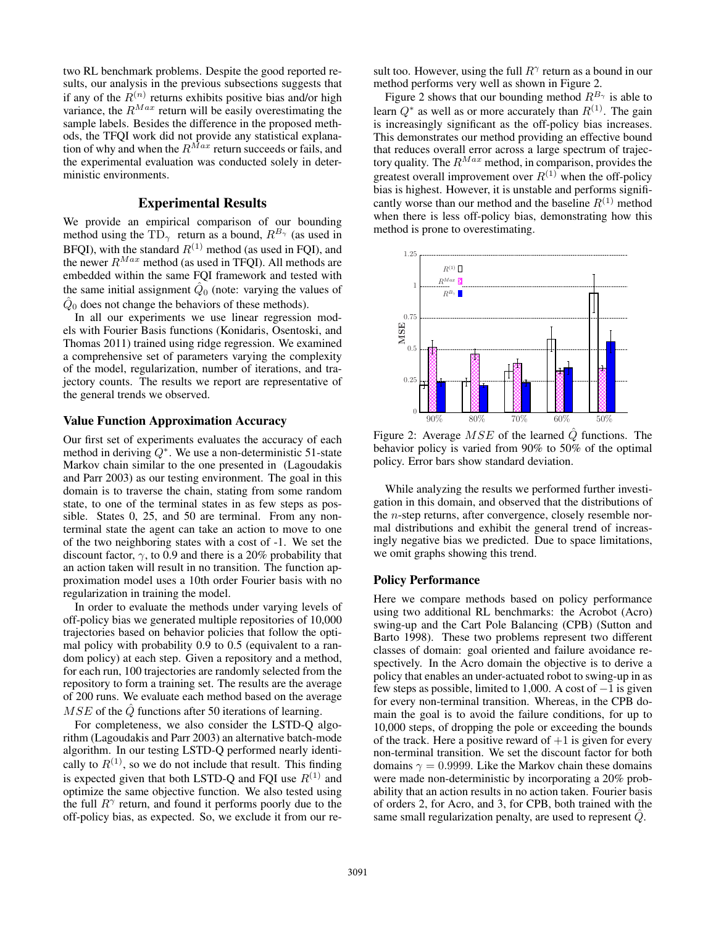two RL benchmark problems. Despite the good reported results, our analysis in the previous subsections suggests that if any of the  $R^{(n)}$  returns exhibits positive bias and/or high variance, the  $R^{Max}$  return will be easily overestimating the sample labels. Besides the difference in the proposed methods, the TFQI work did not provide any statistical explanation of why and when the  $R^{Max}$  return succeeds or fails, and the experimental evaluation was conducted solely in deterministic environments.

### Experimental Results

We provide an empirical comparison of our bounding method using the TD<sub>γ</sub> return as a bound,  $R^{B_{\gamma}}$  (as used in BFQI), with the standard  $R^{(1)}$  method (as used in FQI), and the newer  $R^{Max}$  method (as used in TFQI). All methods are embedded within the same FQI framework and tested with the same initial assignment  $\hat{Q}_0$  (note: varying the values of  $\hat{Q}_0$  does not change the behaviors of these methods).

In all our experiments we use linear regression models with Fourier Basis functions (Konidaris, Osentoski, and Thomas 2011) trained using ridge regression. We examined a comprehensive set of parameters varying the complexity of the model, regularization, number of iterations, and trajectory counts. The results we report are representative of the general trends we observed.

### Value Function Approximation Accuracy

Our first set of experiments evaluates the accuracy of each method in deriving  $Q^*$ . We use a non-deterministic 51-state Markov chain similar to the one presented in (Lagoudakis and Parr 2003) as our testing environment. The goal in this domain is to traverse the chain, stating from some random state, to one of the terminal states in as few steps as possible. States 0, 25, and 50 are terminal. From any nonterminal state the agent can take an action to move to one of the two neighboring states with a cost of -1. We set the discount factor,  $\gamma$ , to 0.9 and there is a 20% probability that an action taken will result in no transition. The function approximation model uses a 10th order Fourier basis with no regularization in training the model.

In order to evaluate the methods under varying levels of off-policy bias we generated multiple repositories of 10,000 trajectories based on behavior policies that follow the optimal policy with probability 0.9 to 0.5 (equivalent to a random policy) at each step. Given a repository and a method, for each run, 100 trajectories are randomly selected from the repository to form a training set. The results are the average of 200 runs. We evaluate each method based on the average  $MSE$  of the  $Q$  functions after 50 iterations of learning.

For completeness, we also consider the LSTD-Q algorithm (Lagoudakis and Parr 2003) an alternative batch-mode algorithm. In our testing LSTD-Q performed nearly identically to  $R^{(1)}$ , so we do not include that result. This finding is expected given that both LSTD-Q and FQI use  $R^{(1)}$  and optimize the same objective function. We also tested using the full  $R^{\gamma}$  return, and found it performs poorly due to the off-policy bias, as expected. So, we exclude it from our re-

sult too. However, using the full  $R^{\gamma}$  return as a bound in our method performs very well as shown in Figure 2.

Figure 2 shows that our bounding method  $R^{B_{\gamma}}$  is able to learn  $Q^*$  as well as or more accurately than  $R^{(1)}$ . The gain is increasingly significant as the off-policy bias increases. This demonstrates our method providing an effective bound that reduces overall error across a large spectrum of trajectory quality. The  $R^{Max}$  method, in comparison, provides the greatest overall improvement over  $R^{(1)}$  when the off-policy bias is highest. However, it is unstable and performs significantly worse than our method and the baseline  $R^{(1)}$  method when there is less off-policy bias, demonstrating how this method is prone to overestimating.



Figure 2: Average  $MSE$  of the learned  $\hat{Q}$  functions. The behavior policy is varied from 90% to 50% of the optimal policy. Error bars show standard deviation.

While analyzing the results we performed further investigation in this domain, and observed that the distributions of the n-step returns, after convergence, closely resemble normal distributions and exhibit the general trend of increasingly negative bias we predicted. Due to space limitations, we omit graphs showing this trend.

#### Policy Performance

Here we compare methods based on policy performance using two additional RL benchmarks: the Acrobot (Acro) swing-up and the Cart Pole Balancing (CPB) (Sutton and Barto 1998). These two problems represent two different classes of domain: goal oriented and failure avoidance respectively. In the Acro domain the objective is to derive a policy that enables an under-actuated robot to swing-up in as few steps as possible, limited to 1,000. A cost of  $-1$  is given for every non-terminal transition. Whereas, in the CPB domain the goal is to avoid the failure conditions, for up to 10,000 steps, of dropping the pole or exceeding the bounds of the track. Here a positive reward of  $+1$  is given for every non-terminal transition. We set the discount factor for both domains  $\gamma = 0.9999$ . Like the Markov chain these domains were made non-deterministic by incorporating a 20% probability that an action results in no action taken. Fourier basis of orders 2, for Acro, and 3, for CPB, both trained with the same small regularization penalty, are used to represent  $Q$ .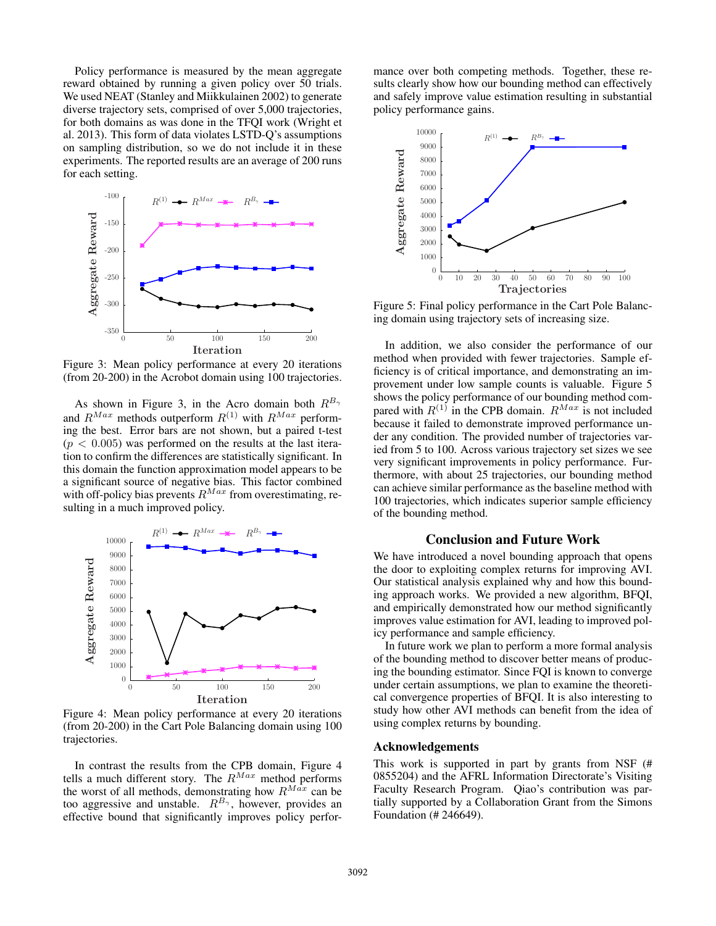Policy performance is measured by the mean aggregate reward obtained by running a given policy over 50 trials. We used NEAT (Stanley and Miikkulainen 2002) to generate diverse trajectory sets, comprised of over 5,000 trajectories, for both domains as was done in the TFQI work (Wright et al. 2013). This form of data violates LSTD-Q's assumptions on sampling distribution, so we do not include it in these experiments. The reported results are an average of 200 runs for each setting.



Figure 3: Mean policy performance at every 20 iterations (from 20-200) in the Acrobot domain using 100 trajectories.

As shown in Figure 3, in the Acro domain both  $R^{B_{\gamma}}$ and  $R^{Max}$  methods outperform  $R^{(1)}$  with  $R^{Max}$  performing the best. Error bars are not shown, but a paired t-test  $(p < 0.005)$  was performed on the results at the last iteration to confirm the differences are statistically significant. In this domain the function approximation model appears to be a significant source of negative bias. This factor combined with off-policy bias prevents  $R^{Max}$  from overestimating, resulting in a much improved policy.



Figure 4: Mean policy performance at every 20 iterations (from 20-200) in the Cart Pole Balancing domain using 100 trajectories.

In contrast the results from the CPB domain, Figure 4 tells a much different story. The  $R^{Max}$  method performs the worst of all methods, demonstrating how  $R^{Max}$  can be too aggressive and unstable.  $R^{B_{\gamma}}$ , however, provides an effective bound that significantly improves policy perfor-

mance over both competing methods. Together, these results clearly show how our bounding method can effectively and safely improve value estimation resulting in substantial policy performance gains.



Figure 5: Final policy performance in the Cart Pole Balancing domain using trajectory sets of increasing size.

In addition, we also consider the performance of our method when provided with fewer trajectories. Sample efficiency is of critical importance, and demonstrating an improvement under low sample counts is valuable. Figure 5 shows the policy performance of our bounding method compared with  $R^{(1)}$  in the CPB domain.  $R^{Max}$  is not included because it failed to demonstrate improved performance under any condition. The provided number of trajectories varied from 5 to 100. Across various trajectory set sizes we see very significant improvements in policy performance. Furthermore, with about 25 trajectories, our bounding method can achieve similar performance as the baseline method with 100 trajectories, which indicates superior sample efficiency of the bounding method.

### Conclusion and Future Work

We have introduced a novel bounding approach that opens the door to exploiting complex returns for improving AVI. Our statistical analysis explained why and how this bounding approach works. We provided a new algorithm, BFQI, and empirically demonstrated how our method significantly improves value estimation for AVI, leading to improved policy performance and sample efficiency.

In future work we plan to perform a more formal analysis of the bounding method to discover better means of producing the bounding estimator. Since FQI is known to converge under certain assumptions, we plan to examine the theoretical convergence properties of BFQI. It is also interesting to study how other AVI methods can benefit from the idea of using complex returns by bounding.

#### Acknowledgements

This work is supported in part by grants from NSF (# 0855204) and the AFRL Information Directorate's Visiting Faculty Research Program. Qiao's contribution was partially supported by a Collaboration Grant from the Simons Foundation (# 246649).